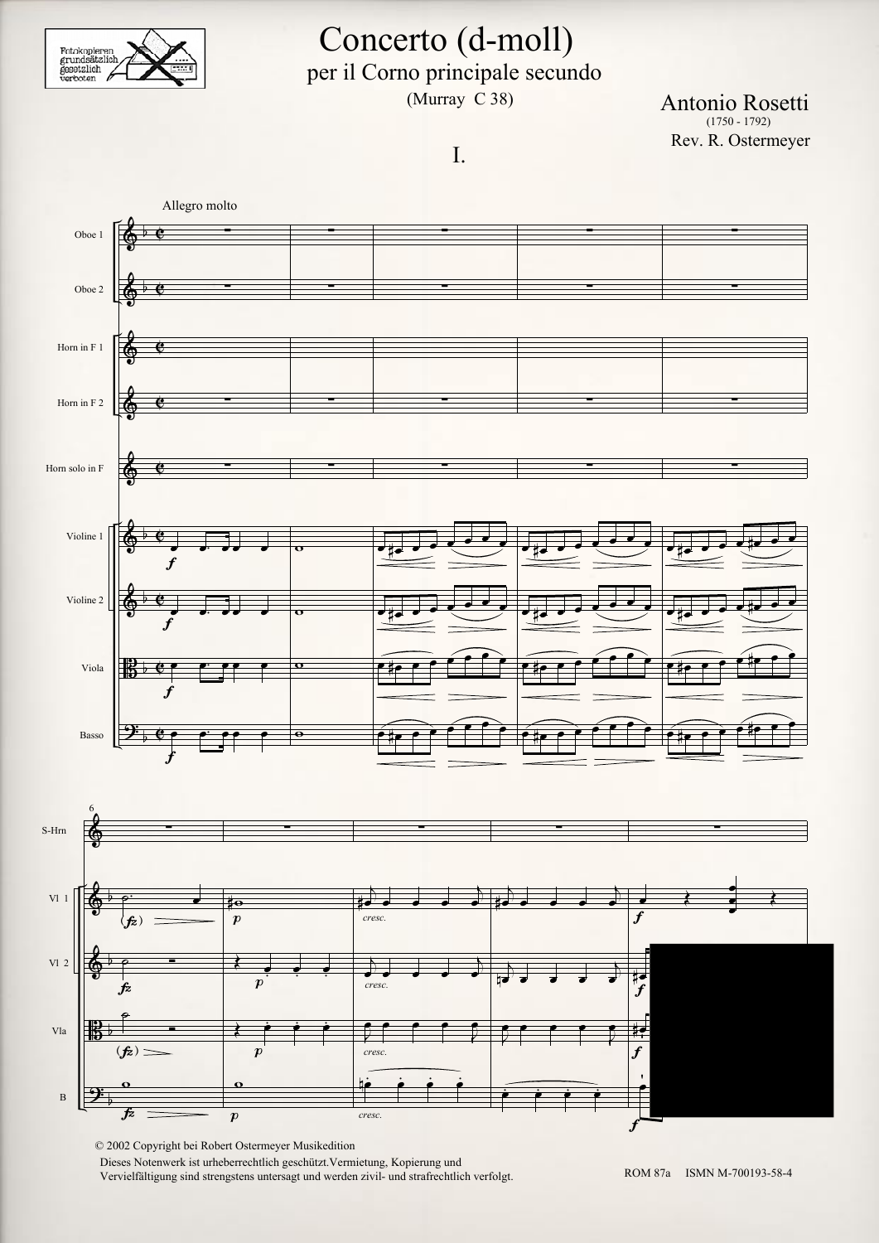

## Concerto (d-moll) per il Corno principale secundo

(Murray C 38)

Antonio Rosetti  $(1750 - 1792)$ Rev. R. Ostermeyer

I.



© 2002 Copyright bei Robert Ostermeyer Musikedition

Dieses Notenwerk ist urheberrechtlich geschützt.Vermietung, Kopierung und Vervielfältigung sind strengstens untersagt und werden zivil- und strafrechtlich verfolgt. ROM 87a ISMN M-700193-58-4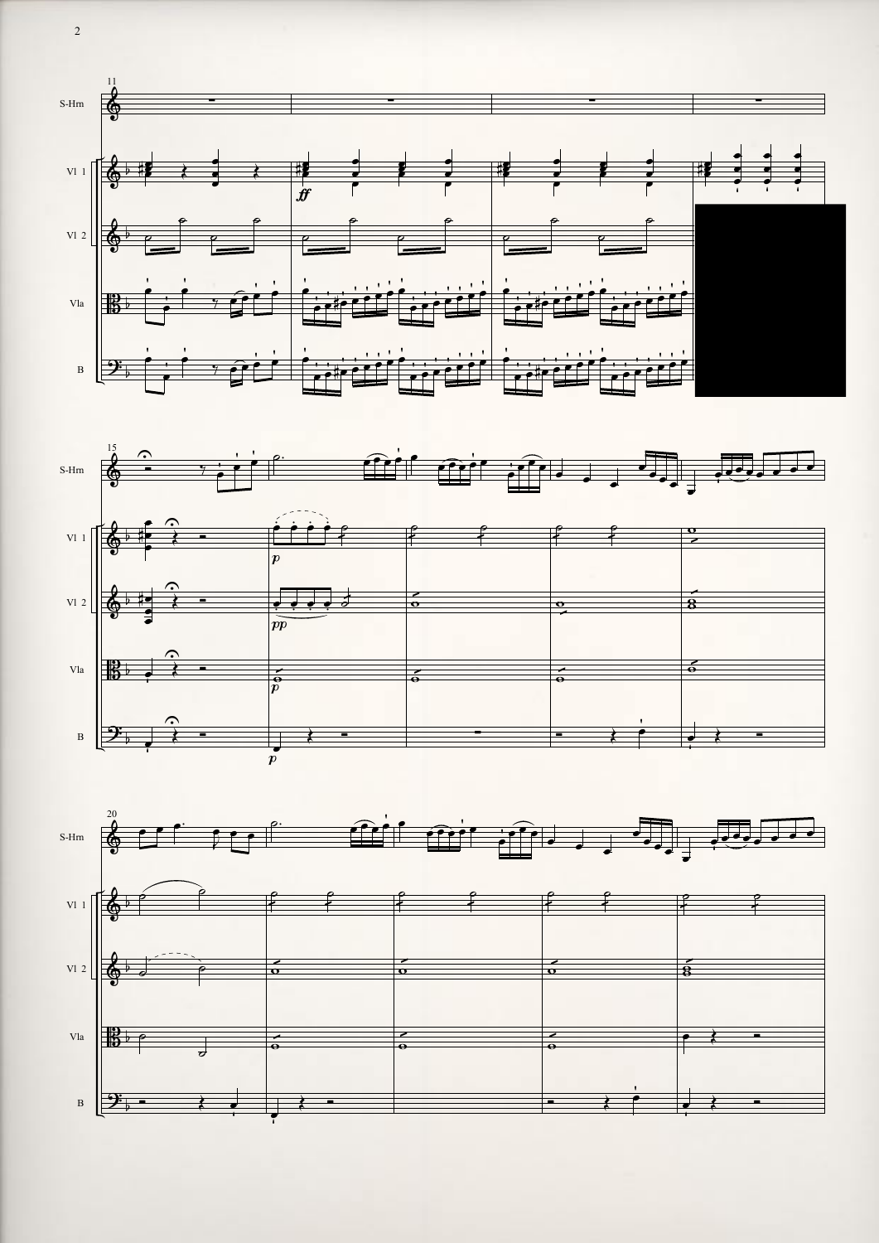





 $\mathcal{L}$